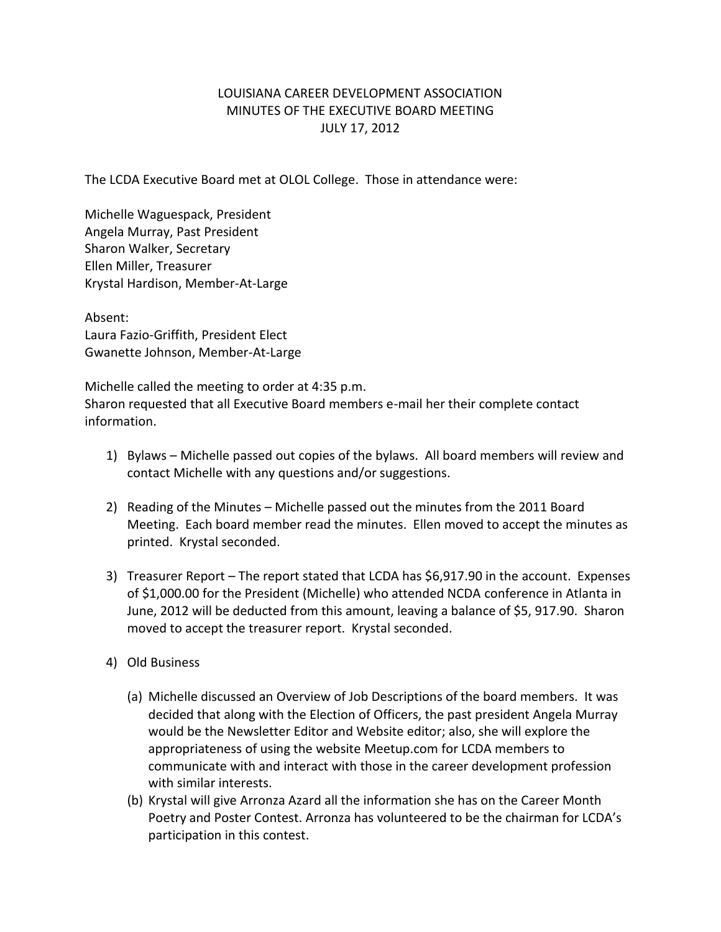## LOUISIANA CAREER DEVELOPMENT ASSOCIATION MINUTES OF THE EXECUTIVE BOARD MEETING JULY 17, 2012

The LCDA Executive Board met at OLOL College. Those in attendance were:

Michelle Waguespack, President Angela Murray, Past President Sharon Walker, Secretary Ellen Miller, Treasurer Krystal Hardison, Member-At-Large

Absent: Laura Fazio-Griffith, President Elect Gwanette Johnson, Member-At-Large

Michelle called the meeting to order at 4:35 p.m. Sharon requested that all Executive Board members e-mail her their complete contact information.

- 1) Bylaws Michelle passed out copies of the bylaws. All board members will review and contact Michelle with any questions and/or suggestions.
- 2) Reading of the Minutes Michelle passed out the minutes from the 2011 Board Meeting. Each board member read the minutes. Ellen moved to accept the minutes as printed. Krystal seconded.
- 3) Treasurer Report The report stated that LCDA has \$6,917.90 in the account. Expenses of \$1,000.00 for the President (Michelle) who attended NCDA conference in Atlanta in June, 2012 will be deducted from this amount, leaving a balance of \$5, 917.90. Sharon moved to accept the treasurer report. Krystal seconded.
- 4) Old Business
	- (a) Michelle discussed an Overview of Job Descriptions of the board members. It was decided that along with the Election of Officers, the past president Angela Murray would be the Newsletter Editor and Website editor; also, she will explore the appropriateness of using the website Meetup.com for LCDA members to communicate with and interact with those in the career development profession with similar interests.
	- (b) Krystal will give Arronza Azard all the information she has on the Career Month Poetry and Poster Contest. Arronza has volunteered to be the chairman for LCDA's participation in this contest.